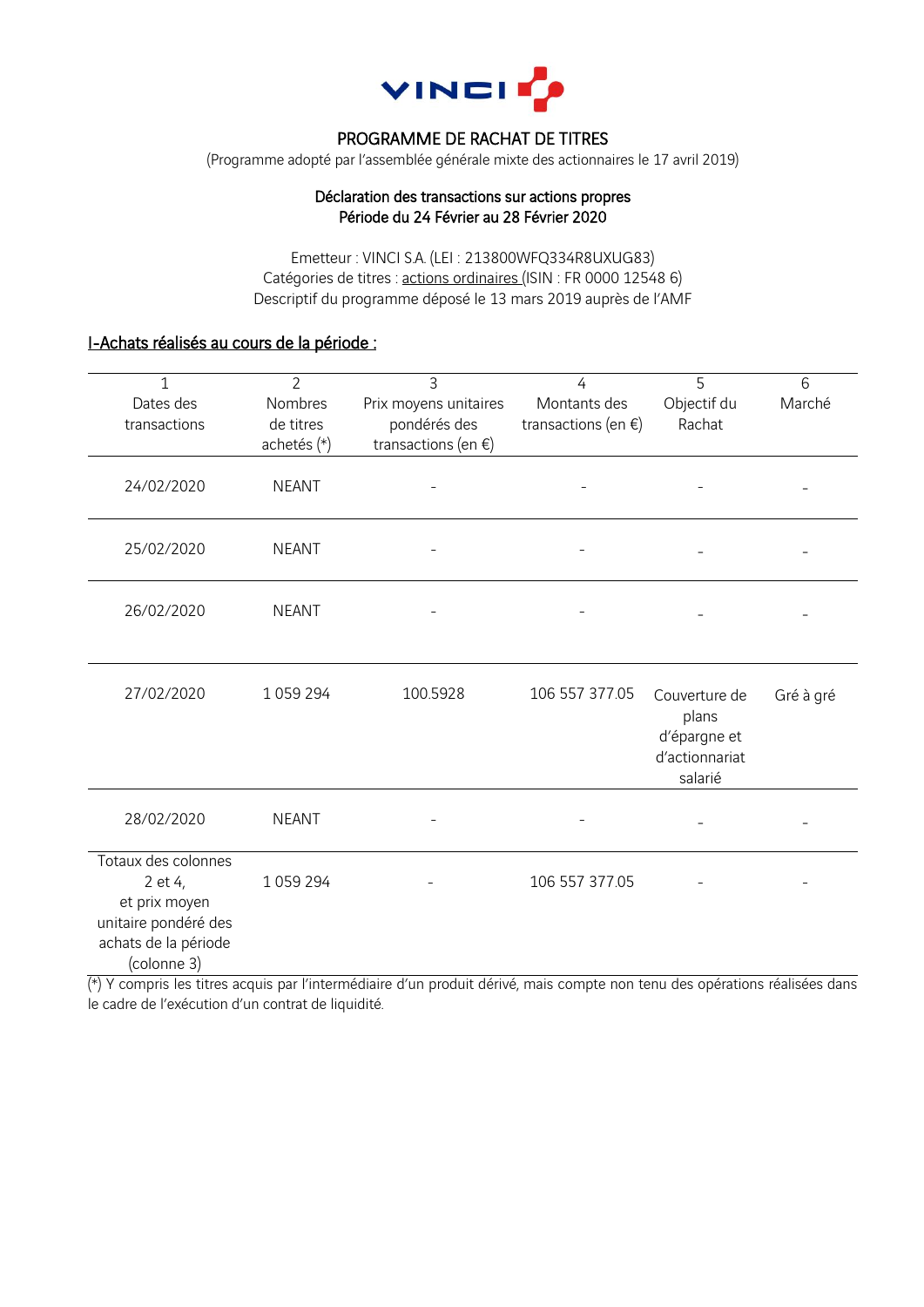

## PROGRAMME DE RACHAT DE TITRES

(Programme adopté par l'assemblée générale mixte des actionnaires le 17 avril 2019)

### Déclaration des transactions sur actions propres Période du 24 Février au 28 Février 2020

Emetteur : VINCI S.A. (LEI : 213800WFQ334R8UXUG83) Catégories de titres : actions ordinaires (ISIN : FR 0000 12548 6) Descriptif du programme déposé le 13 mars 2019 auprès de l'AMF

# I-Achats réalisés au cours de la période :

| $\mathbf{1}$<br>Dates des<br>transactions                                                                      | $\overline{2}$<br>Nombres<br>de titres<br>achetés (*) | $\overline{3}$<br>Prix moyens unitaires<br>pondérés des<br>transactions (en $\xi$ ) | 4<br>Montants des<br>transactions (en $\xi$ ) | 5<br>Objectif du<br>Rachat                                          | 6<br>Marché |
|----------------------------------------------------------------------------------------------------------------|-------------------------------------------------------|-------------------------------------------------------------------------------------|-----------------------------------------------|---------------------------------------------------------------------|-------------|
| 24/02/2020                                                                                                     | <b>NEANT</b>                                          |                                                                                     |                                               |                                                                     |             |
| 25/02/2020                                                                                                     | <b>NEANT</b>                                          |                                                                                     |                                               |                                                                     |             |
| 26/02/2020                                                                                                     | <b>NEANT</b>                                          |                                                                                     |                                               |                                                                     |             |
| 27/02/2020                                                                                                     | 1059294                                               | 100.5928                                                                            | 106 557 377.05                                | Couverture de<br>plans<br>d'épargne et<br>d'actionnariat<br>salarié | Gré à gré   |
| 28/02/2020                                                                                                     | <b>NEANT</b>                                          |                                                                                     |                                               |                                                                     |             |
| Totaux des colonnes<br>2 et 4,<br>et prix moyen<br>unitaire pondéré des<br>achats de la période<br>(colonne 3) | 1059294                                               |                                                                                     | 106 557 377.05                                |                                                                     |             |

(\*) Y compris les titres acquis par l'intermédiaire d'un produit dérivé, mais compte non tenu des opérations réalisées dans le cadre de l'exécution d'un contrat de liquidité.